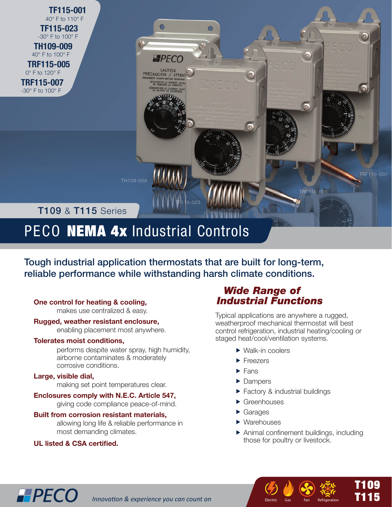**TF115-001** 40° F to 110° F  **TF115-023** -30° F to 100° F  **TH109-009** 

40° F to 100° F

 **TRF115-005** 0° F to 120° F

**TRF115-007** -30° F to 100° F

## **T109 & T115 Series**

# PECO NEMA 4x Industrial Controls

Tough industrial application thermostats that are built for long-term, reliable performance while withstanding harsh climate conditions.

 $\bigcirc$ 

**EFPECO** 

CAUTION<br>PRECAUCION / ATTENT

TF115-023

## **One control for heating & cooling,**

makes use centralized & easy.

## **Rugged, weather resistant enclosure,**

enabling placement most anywhere.

## **Tolerates moist conditions,**

performs despite water spray, high humidity, airborne contaminates & moderately corrosive conditions.

## **Large, visible dial,**

making set point temperatures clear.

## **Enclosures comply with N.E.C. Article 547,**

giving code compliance peace-of-mind.

## **Built from corrosion resistant materials,**

 allowing long life & reliable performance in most demanding climates.

## **UL listed & CSA certified.**

**HPECO** 

## *Wide Range of Industrial Functions*

Typical applications are anywhere a rugged, weatherproof mechanical thermostat will best control refrigeration, industrial heating/cooling or staged heat/cool/ventilation systems.

TRF115-005

- ▶ Walk-in coolers
- **Freezers**
- $\blacktriangleright$  Fans
- Dampers
- ▶ Factory & industrial buildings
- **Greenhouses**
- Garages
- ▶ Warehouses
- Animal confinement buildings, including those for poultry or livestock.

I CD 32 T<sub>an</sub> Refrig

Electric Gas Fan Refrigeration

T109<br>T146 T115

T109

TRF115-007